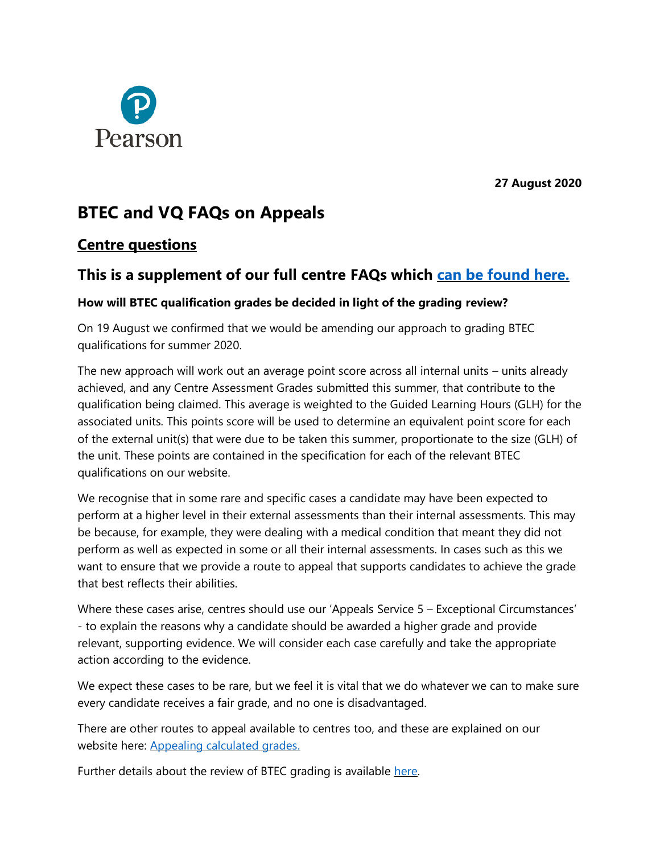

**27 August 2020**

# **BTEC and VQ FAQs on Appeals**

### **Centre questions**

# **This is a supplement of our full centre FAQs which [can be found here.](https://www.pearson.com/uk/educators/fe-college-educators/supporting-the-fe-sector-during-coronavirus-covid-19/assessmentarrangements.html)**

#### **How will BTEC qualification grades be decided in light of the grading review?**

On 19 August we confirmed that we would be amending our approach to grading BTEC qualifications for summer 2020.

The new approach will work out an average point score across all internal units – units already achieved, and any Centre Assessment Grades submitted this summer, that contribute to the qualification being claimed. This average is weighted to the Guided Learning Hours (GLH) for the associated units. This points score will be used to determine an equivalent point score for each of the external unit(s) that were due to be taken this summer, proportionate to the size (GLH) of the unit. These points are contained in the specification for each of the relevant BTEC qualifications on our website.

We recognise that in some rare and specific cases a candidate may have been expected to perform at a higher level in their external assessments than their internal assessments. This may be because, for example, they were dealing with a medical condition that meant they did not perform as well as expected in some or all their internal assessments. In cases such as this we want to ensure that we provide a route to appeal that supports candidates to achieve the grade that best reflects their abilities.

Where these cases arise, centres should use our 'Appeals Service 5 – Exceptional Circumstances' - to explain the reasons why a candidate should be awarded a higher grade and provide relevant, supporting evidence. We will consider each case carefully and take the appropriate action according to the evidence.

We expect these cases to be rare, but we feel it is vital that we do whatever we can to make sure every candidate receives a fair grade, and no one is disadvantaged.

There are other routes to appeal available to centres too, and these are explained on our website here: [Appealing calculated grades.](https://qualifications.pearson.com/en/campaigns/pearson-covid-19/appealing-calculated-grades.html)

Further details about the review of BTEC grading is available [here.](https://qualifications.pearson.com/content/dam/pdf/assessment-hub/Results-August-2020-24.8.2020.pdf)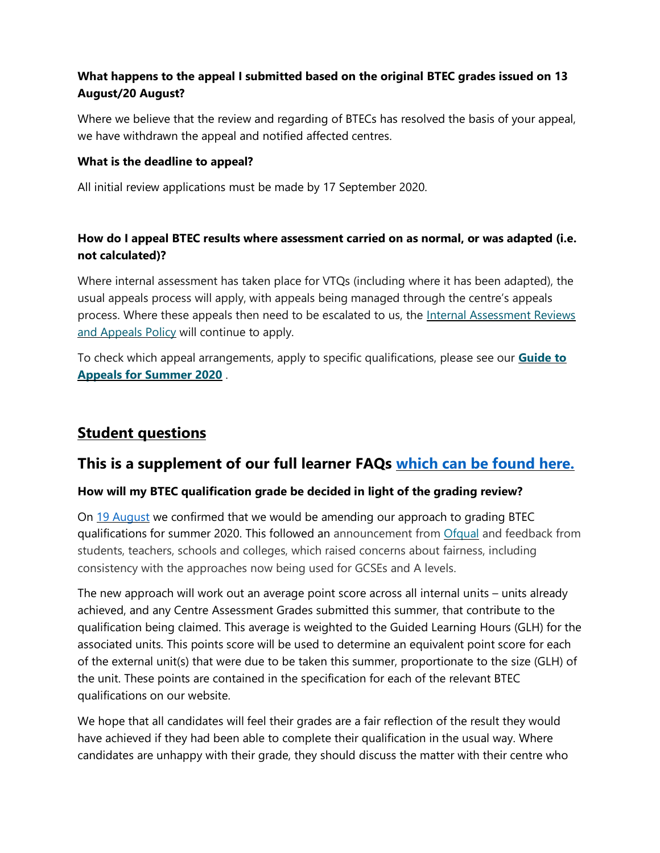### **What happens to the appeal I submitted based on the original BTEC grades issued on 13 August/20 August?**

Where we believe that the review and regarding of BTECs has resolved the basis of your appeal, we have withdrawn the appeal and notified affected centres.

#### **What is the deadline to appeal?**

All initial review applications must be made by 17 September 2020.

### **How do I appeal BTEC results where assessment carried on as normal, or was adapted (i.e. not calculated)?**

Where internal assessment has taken place for VTQs (including where it has been adapted), the usual appeals process will apply, with appeals being managed through the centre's appeals process. Where these appeals then need to be escalated to us, the [Internal Assessment Reviews](https://qualifications.pearson.com/content/dam/pdf/Support/policies-for-centres-learners-and-employees/Enquiries_and_Appeals_on_Pearson_Vocational_Qualifications.pdf)  [and Appeals Policy](https://qualifications.pearson.com/content/dam/pdf/Support/policies-for-centres-learners-and-employees/Enquiries_and_Appeals_on_Pearson_Vocational_Qualifications.pdf) will continue to apply.

To check which appeal arrangements, apply to specific qualifications, please see our **[Guide to](https://qualifications.pearson.com/content/dam/pdf/Support/Post-results%20services/A2240-Guide-to-Appeals-iPDF-FINAL.pdf)  [Appeals for Summer 2020](https://qualifications.pearson.com/content/dam/pdf/Support/Post-results%20services/A2240-Guide-to-Appeals-iPDF-FINAL.pdf)** .

# **Student questions**

### **This is a supplement of our full learner FAQs [which can be found here.](https://www.pearson.com/uk/educators/fe-college-educators/supporting-the-fe-sector-during-coronavirus-covid-19/btec-learner-faqs.html)**

#### **How will my BTEC qualification grade be decided in light of the grading review?**

On [19 August](https://www.pearson.com/uk/about-us/news-and-policy/news/2020/08/statement-from-cindy-rampersaud-on-regrading-of-btec-qualificati.html) we confirmed that we would be amending our approach to grading BTEC qualifications for summer 2020. This followed an announcement from [Ofqual](https://www.gov.uk/government/news/statement-from-roger-taylor-chair-ofqual) and feedback from students, teachers, schools and colleges, which raised concerns about fairness, including consistency with the approaches now being used for GCSEs and A levels.

The new approach will work out an average point score across all internal units – units already achieved, and any Centre Assessment Grades submitted this summer, that contribute to the qualification being claimed. This average is weighted to the Guided Learning Hours (GLH) for the associated units. This points score will be used to determine an equivalent point score for each of the external unit(s) that were due to be taken this summer, proportionate to the size (GLH) of the unit. These points are contained in the specification for each of the relevant BTEC qualifications on our website.

We hope that all candidates will feel their grades are a fair reflection of the result they would have achieved if they had been able to complete their qualification in the usual way. Where candidates are unhappy with their grade, they should discuss the matter with their centre who